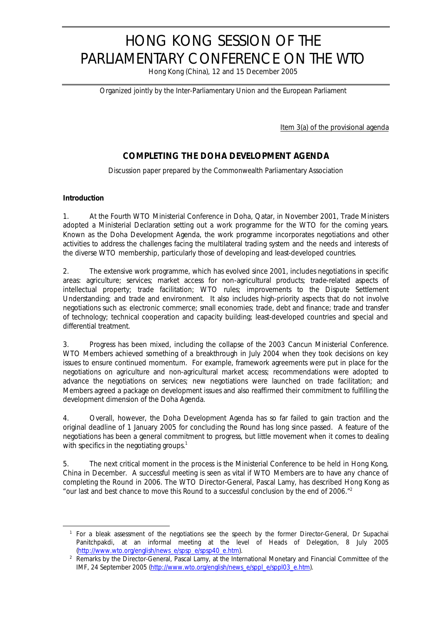# HONG KONG SESSION OF THE PARLIAMENTARY CONFERENCE ON THE WTO

Hong Kong (China), 12 and 15 December 2005

*Organized jointly by the Inter-Parliamentary Union and the European Parliament*

Item 3(a) of the provisional agenda

# **COMPLETING THE DOHA DEVELOPMENT AGENDA**

*Discussion paper prepared by the Commonwealth Parliamentary Association*

#### **Introduction**

 $\overline{a}$ 

1. At the Fourth WTO Ministerial Conference in Doha, Qatar, in November 2001, Trade Ministers adopted a Ministerial Declaration setting out a work programme for the WTO for the coming years. Known as the Doha Development Agenda, the work programme incorporates negotiations and other activities to address the challenges facing the multilateral trading system and the needs and interests of the diverse WTO membership, particularly those of developing and least-developed countries.

2. The extensive work programme, which has evolved since 2001, includes negotiations in specific areas: agriculture; services; market access for non-agricultural products; trade-related aspects of intellectual property; trade facilitation; WTO rules; improvements to the Dispute Settlement Understanding; and trade and environment. It also includes high-priority aspects that do not involve negotiations such as: electronic commerce; small economies; trade, debt and finance; trade and transfer of technology; technical cooperation and capacity building; least-developed countries and special and differential treatment.

3. Progress has been mixed, including the collapse of the 2003 Cancun Ministerial Conference. WTO Members achieved something of a breakthrough in July 2004 when they took decisions on key issues to ensure continued momentum. For example, framework agreements were put in place for the negotiations on agriculture and non-agricultural market access; recommendations were adopted to advance the negotiations on services; new negotiations were launched on trade facilitation; and Members agreed a package on development issues and also reaffirmed their commitment to fulfilling the development dimension of the Doha Agenda.

4. Overall, however, the Doha Development Agenda has so far failed to gain traction and the original deadline of 1 January 2005 for concluding the Round has long since passed. A feature of the negotiations has been a general commitment to progress, but little movement when it comes to dealing with specifics in the negotiating groups.<sup>1</sup>

5. The next critical moment in the process is the Ministerial Conference to be held in Hong Kong, China in December. A successful meeting is seen as vital if WTO Members are to have any chance of completing the Round in 2006. The WTO Director-General, Pascal Lamy, has described Hong Kong as *"our last and best chance to move this Round to a successful conclusion by the end of 2006."<sup>2</sup>*

<sup>1</sup> For a bleak assessment of the negotiations see the speech by the former Director-General, Dr Supachai Panitchpakdi, at an informal meeting at the level of Heads of Delegation, 8 July 2005 (http://www.wto.org/english/news\_e/spsp\_e/spsp40\_e.htm).

<sup>&</sup>lt;sup>2</sup> Remarks by the Director-General, Pascal Lamy, at the International Monetary and Financial Committee of the IMF, 24 September 2005 (http://www.wto.org/english/news\_e/sppl\_e/sppl03\_e.htm).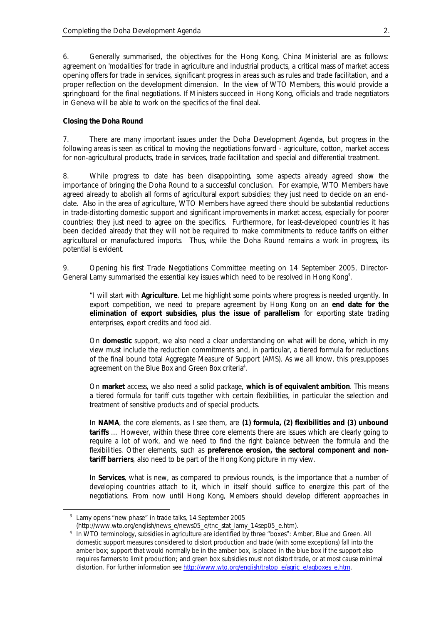6. Generally summarised, the objectives for the Hong Kong, China Ministerial are as follows: agreement on 'modalities' for trade in agriculture and industrial products, a critical mass of market access opening offers for trade in services, significant progress in areas such as rules and trade facilitation, and a proper reflection on the development dimension. In the view of WTO Members, this would provide a springboard for the final negotiations. If Ministers succeed in Hong Kong, officials and trade negotiators in Geneva will be able to work on the specifics of the final deal.

#### **Closing the Doha Round**

7. There are many important issues under the Doha Development Agenda, but progress in the following areas is seen as critical to moving the negotiations forward - agriculture, cotton, market access for non-agricultural products, trade in services, trade facilitation and special and differential treatment.

8. While progress to date has been disappointing, some aspects already agreed show the importance of bringing the Doha Round to a successful conclusion. For example, WTO Members have agreed already to abolish all forms of agricultural export subsidies; they just need to decide on an enddate. Also in the area of agriculture, WTO Members have agreed there should be substantial reductions in trade-distorting domestic support and significant improvements in market access, especially for poorer countries; they just need to agree on the specifics. Furthermore, for least-developed countries it has been decided already that they will not be required to make commitments to reduce tariffs on either agricultural or manufactured imports. Thus, while the Doha Round remains a work in progress, its potential is evident.

9. Opening his first Trade Negotiations Committee meeting on 14 September 2005, Director-General Lamy summarised the essential key issues which need to be resolved in Hong Kong*<sup>3</sup>* .

*"I will start with Agriculture. Let me highlight some points where progress is needed urgently. In export competition, we need to prepare agreement by Hong Kong on an end date for the elimination of export subsidies, plus the issue of parallelism for exporting state trading enterprises, export credits and food aid.*

*On domestic support, we also need a clear understanding on what will be done, which in my view must include the reduction commitments and, in particular, a tiered formula for reductions of the final bound total Aggregate Measure of Support (AMS). As we all know, this presupposes agreement on the Blue Box and Green Box criteria<sup>4</sup> .*

*On market access, we also need a solid package, which is of equivalent ambition. This means a tiered formula for tariff cuts together with certain flexibilities, in particular the selection and treatment of sensitive products and of special products.*

*In NAMA, the core elements, as I see them, are (1) formula, (2) flexibilities and (3) unbound tariffs … However, within these three core elements there are issues which are clearly going to require a lot of work, and we need to find the right balance between the formula and the flexibilities. Other elements, such as preference erosion, the sectoral component and nontariff barriers, also need to be part of the Hong Kong picture in my view.*

*In Services, what is new, as compared to previous rounds, is the importance that a number of developing countries attach to it, which in itself should suffice to energize this part of the negotiations. From now until Hong Kong, Members should develop different approaches in*

<sup>3</sup> Lamy opens "new phase" in trade talks, 14 September 2005

<sup>(</sup>http://www.wto.org/english/news\_e/news05\_e/tnc\_stat\_lamy\_14sep05\_e.htm).

<sup>4</sup> In WTO terminology, subsidies in agriculture are identified by three "boxes": Amber, Blue and Green. All domestic support measures considered to distort production and trade (with some exceptions) fall into the amber box; support that would normally be in the amber box, is placed in the blue box if the support also requires farmers to limit production; and green box subsidies must not distort trade, or at most cause minimal distortion. For further information see http://www.wto.org/english/tratop\_e/agric\_e/agboxes\_e.htm.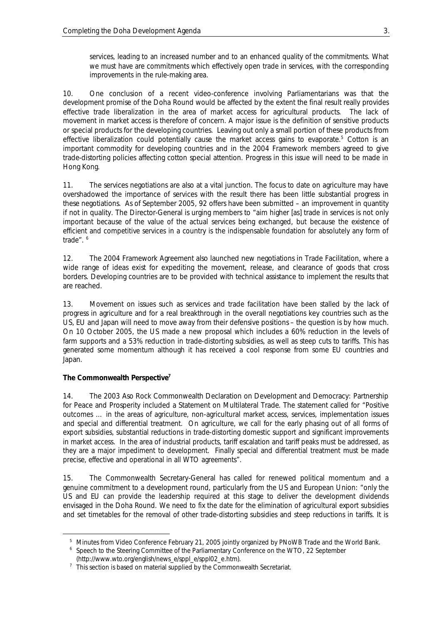*services, leading to an increased number and to an enhanced quality of the commitments. What we must have are commitments which effectively open trade in services, with the corresponding improvements in the rule-making area.*

10. One conclusion of a recent video-conference involving Parliamentarians was that the development promise of the Doha Round would be affected by the extent the final result really provides effective trade liberalization in the area of market access for agricultural products. The lack of movement in market access is therefore of concern. A major issue is the definition of sensitive products or special products for the developing countries. Leaving out only a small portion of these products from effective liberalization could potentially cause the market access gains to evaporate.<sup>5</sup> Cotton is an important commodity for developing countries and in the 2004 Framework members agreed to give trade-distorting policies affecting cotton special attention. Progress in this issue will need to be made in Hong Kong.

11. The services negotiations are also at a vital junction. The focus to date on agriculture may have overshadowed the importance of services with the result there has been little substantial progress in these negotiations. As of September 2005, 92 offers have been submitted – an improvement in quantity if not in quality. The Director-General is urging members to *"aim higher [as] trade in services is not only important because of the value of the actual services being exchanged, but because the existence of* efficient and competitive services in a country is the indispensable foundation for absolutely any form of *trade".* <sup>6</sup>

12. The 2004 Framework Agreement also launched new negotiations in Trade Facilitation, where a wide range of ideas exist for expediting the movement, release, and clearance of goods that cross borders. Developing countries are to be provided with technical assistance to implement the results that are reached.

13. Movement on issues such as services and trade facilitation have been stalled by the lack of progress in agriculture and for a real breakthrough in the overall negotiations key countries such as the US, EU and Japan will need to move away from their defensive positions – the question is by how much. On 10 October 2005, the US made a new proposal which includes a 60% reduction in the levels of farm supports and a 53% reduction in trade-distorting subsidies, as well as steep cuts to tariffs. This has generated some momentum although it has received a cool response from some EU countries and Japan.

# **The Commonwealth Perspective<sup>7</sup>**

 $\overline{a}$ 

14. The 2003 Aso Rock Commonwealth Declaration on Development and Democracy: Partnership for Peace and Prosperity included a Statement on Multilateral Trade. The statement called for *"Positive outcomes … in the areas of agriculture, non-agricultural market access, services, implementation issues* and special and differential treatment. On agriculture, we call for the early phasing out of all forms of *export subsidies, substantial reductions in trade-distorting domestic support and significant improvements in market access. In the area of industrial products, tariff escalation and tariff peaks must be addressed, as they are a major impediment to development. Finally special and differential treatment must be made precise, effective and operational in all WTO agreements".*

15. The Commonwealth Secretary-General has called for renewed political momentum and a genuine commitment to a development round, particularly from the US and European Union: *"only the US and EU can provide the leadership required at this stage to deliver the development dividends envisaged in the Doha Round. We need to fix the date for the elimination of agricultural export subsidies and set timetables for the removal of other trade-distorting subsidies and steep reductions in tariffs. It is* 

<sup>&</sup>lt;sup>5</sup> Minutes from Video Conference February 21, 2005 jointly organized by PNoWB Trade and the World Bank.

<sup>&</sup>lt;sup>6</sup> Speech to the Steering Committee of the Parliamentary Conference on the WTO, 22 September

<sup>(</sup>http://www.wto.org/english/news\_e/sppl\_e/sppl02\_e.htm).

 $7$  This section is based on material supplied by the Commonwealth Secretariat.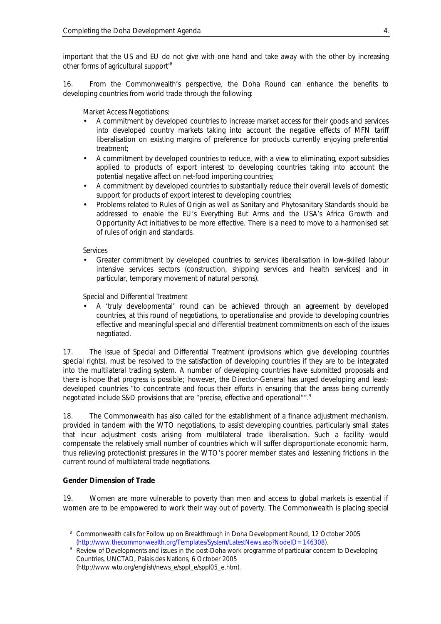*important that the US and EU do not give with one hand and take away with the other by increasing other forms of agricultural support" 8*

16. From the Commonwealth's perspective, the Doha Round can enhance the benefits to developing countries from world trade through the following:

*Market Access Negotiations:*

- A commitment by developed countries to increase market access for their goods and services into developed country markets taking into account the negative effects of MFN tariff liberalisation on existing margins of preference for products currently enjoying preferential treatment;
- A commitment by developed countries to reduce, with a view to eliminating, export subsidies applied to products of export interest to developing countries taking into account the potential negative affect on net-food importing countries;
- A commitment by developed countries to substantially reduce their overall levels of domestic support for products of export interest to developing countries;
- Problems related to Rules of Origin as well as Sanitary and Phytosanitary Standards should be addressed to enable the EU's Everything But Arms and the USA's Africa Growth and Opportunity Act initiatives to be more effective. There is a need to move to a harmonised set of rules of origin and standards.

*Services*

• Greater commitment by developed countries to services liberalisation in low-skilled labour intensive services sectors (construction, shipping services and health services) and in particular, temporary movement of natural persons).

*Special and Differential Treatment*

• A 'truly developmental' round can be achieved through an agreement by developed countries, at this round of negotiations, to operationalise and provide to developing countries effective and meaningful special and differential treatment commitments on each of the issues negotiated.

17. The issue of Special and Differential Treatment (provisions which give developing countries special rights), must be resolved to the satisfaction of developing countries if they are to be integrated into the multilateral trading system. A number of developing countries have submitted proposals and there is hope that progress is possible; however, the Director-General has urged developing and leastdeveloped countries *"to concentrate and focus their efforts in ensuring that the areas being currently negotiated include S&D provisions that are "precise, effective and operational"".<sup>9</sup>*

18. The Commonwealth has also called for the establishment of a finance adjustment mechanism, provided in tandem with the WTO negotiations, to assist developing countries, particularly small states that incur adjustment costs arising from multilateral trade liberalisation. Such a facility would compensate the relatively small number of countries which will suffer disproportionate economic harm, thus relieving protectionist pressures in the WTO's poorer member states and lessening frictions in the current round of multilateral trade negotiations.

# **Gender Dimension of Trade**

 $\overline{a}$ 

19. Women are more vulnerable to poverty than men and access to global markets is essential if women are to be empowered to work their way out of poverty. The Commonwealth is placing special

<sup>&</sup>lt;sup>8</sup> Commonwealth calls for Follow up on Breakthrough in Doha Development Round, 12 October 2005 (http://www.thecommonwealth.org/Templates/System/LatestNews.asp?NodeID=146308).

<sup>9</sup> Review of Developments and issues in the post-Doha work programme of particular concern to Developing Countries, UNCTAD, Palais des Nations, 6 October 2005 (http://www.wto.org/english/news\_e/sppl\_e/sppl05\_e.htm).